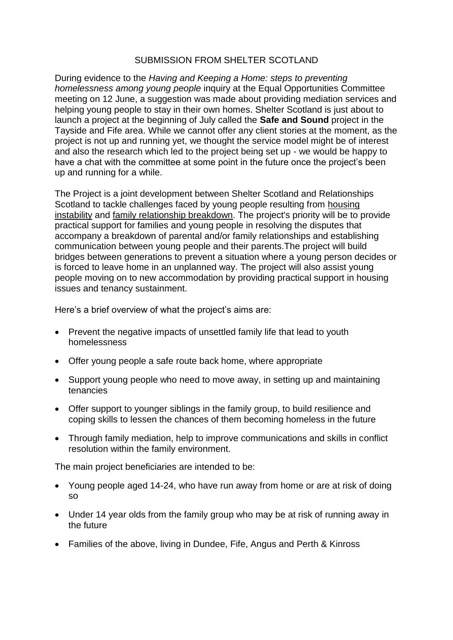## SUBMISSION FROM SHELTER SCOTLAND

During evidence to the *Having and Keeping a Home: steps to preventing homelessness among young people* inquiry at the Equal Opportunities Committee meeting on 12 June, a suggestion was made about providing mediation services and helping young people to stay in their own homes. Shelter Scotland is just about to launch a project at the beginning of July called the **Safe and Sound** project in the Tayside and Fife area. While we cannot offer any client stories at the moment, as the project is not up and running yet, we thought the service model might be of interest and also the research which led to the project being set up - we would be happy to have a chat with the committee at some point in the future once the project's been up and running for a while.

The Project is a joint development between Shelter Scotland and Relationships Scotland to tackle challenges faced by young people resulting from housing instability and family relationship breakdown. The project's priority will be to provide practical support for families and young people in resolving the disputes that accompany a breakdown of parental and/or family relationships and establishing communication between young people and their parents.The project will build bridges between generations to prevent a situation where a young person decides or is forced to leave home in an unplanned way. The project will also assist young people moving on to new accommodation by providing practical support in housing issues and tenancy sustainment.

Here's a brief overview of what the project's aims are:

- Prevent the negative impacts of unsettled family life that lead to youth homelessness
- Offer young people a safe route back home, where appropriate
- Support young people who need to move away, in setting up and maintaining tenancies
- Offer support to younger siblings in the family group, to build resilience and coping skills to lessen the chances of them becoming homeless in the future
- Through family mediation, help to improve communications and skills in conflict resolution within the family environment.

The main project beneficiaries are intended to be:

- Young people aged 14-24, who have run away from home or are at risk of doing so
- Under 14 year olds from the family group who may be at risk of running away in the future
- Families of the above, living in Dundee, Fife, Angus and Perth & Kinross